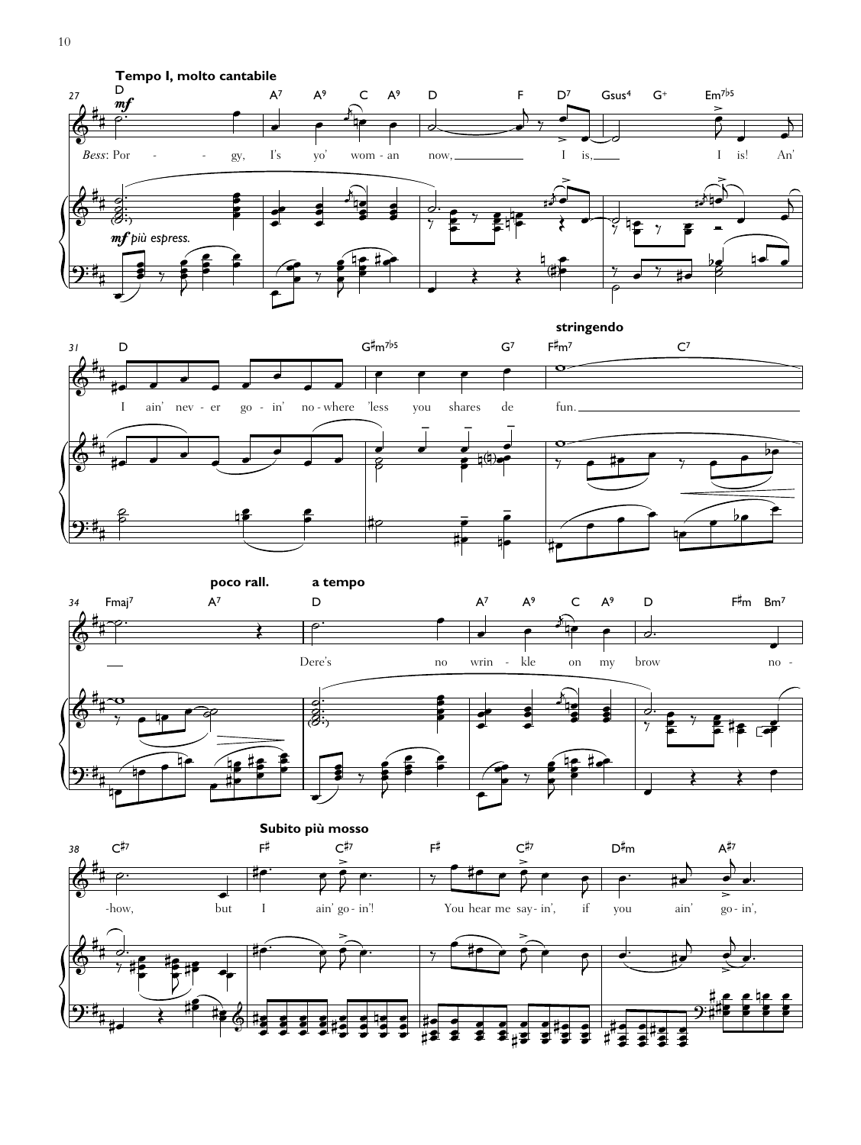





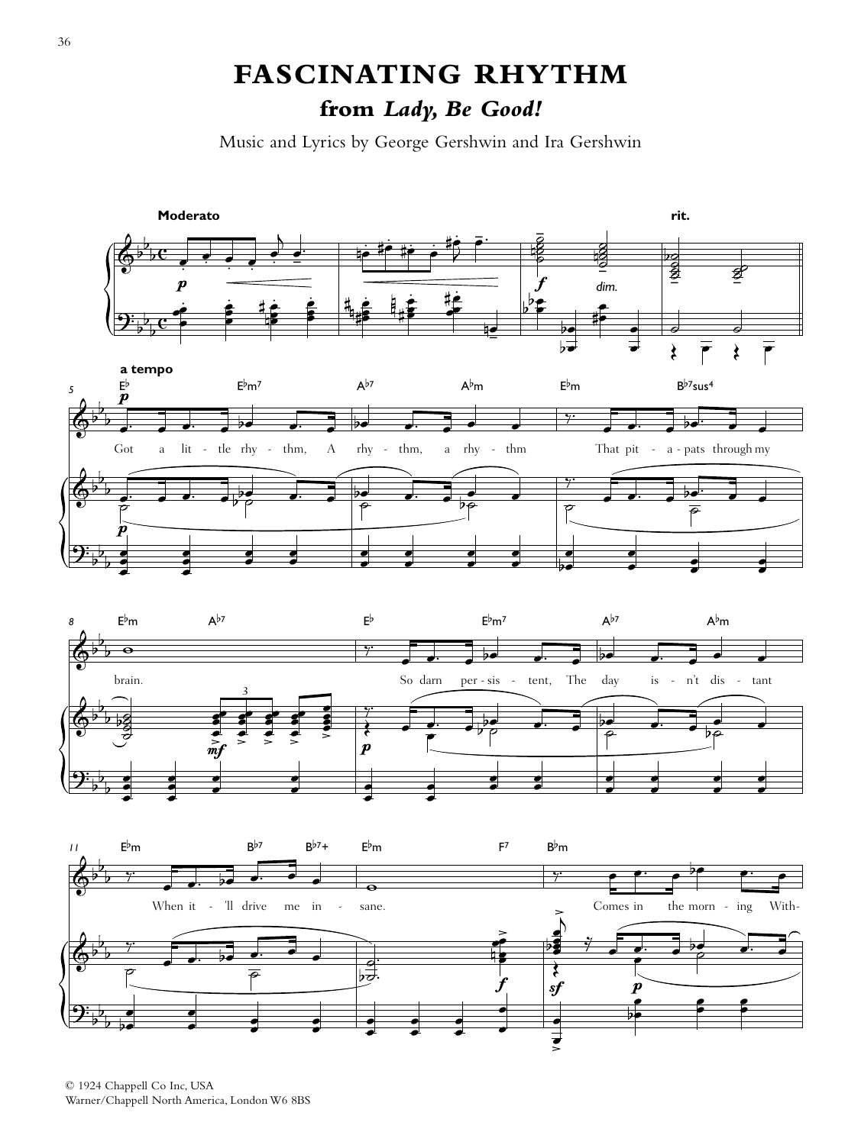## **FASCINATING RHYTHM from** *Lady, Be Good!*

Music and Lyrics by George Gershwin and Ira Gershwin







© 1924 Chappell Co Inc, USA Warner/Chappell North America, London W6 8BS